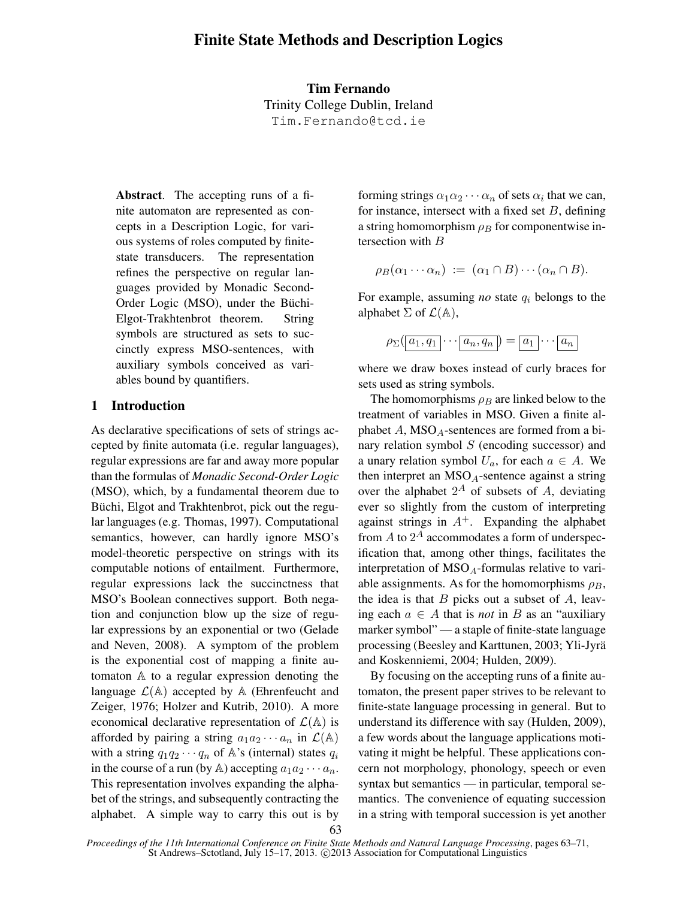Tim Fernando Trinity College Dublin, Ireland Tim.Fernando@tcd.ie

Abstract. The accepting runs of a finite automaton are represented as concepts in a Description Logic, for various systems of roles computed by finitestate transducers. The representation refines the perspective on regular languages provided by Monadic Second-Order Logic (MSO), under the Büchi-Elgot-Trakhtenbrot theorem. String symbols are structured as sets to succinctly express MSO-sentences, with auxiliary symbols conceived as variables bound by quantifiers.

# 1 Introduction

As declarative specifications of sets of strings accepted by finite automata (i.e. regular languages), regular expressions are far and away more popular than the formulas of *Monadic Second-Order Logic* (MSO), which, by a fundamental theorem due to Büchi, Elgot and Trakhtenbrot, pick out the regular languages (e.g. Thomas, 1997). Computational semantics, however, can hardly ignore MSO's model-theoretic perspective on strings with its computable notions of entailment. Furthermore, regular expressions lack the succinctness that MSO's Boolean connectives support. Both negation and conjunction blow up the size of regular expressions by an exponential or two (Gelade and Neven, 2008). A symptom of the problem is the exponential cost of mapping a finite automaton A to a regular expression denoting the language  $\mathcal{L}(\mathbb{A})$  accepted by  $\mathbb{A}$  (Ehrenfeucht and Zeiger, 1976; Holzer and Kutrib, 2010). A more economical declarative representation of  $\mathcal{L}(\mathbb{A})$  is afforded by pairing a string  $a_1 a_2 \cdots a_n$  in  $\mathcal{L}(\mathbb{A})$ with a string  $q_1q_2 \cdots q_n$  of A's (internal) states  $q_i$ in the course of a run (by A) accepting  $a_1 a_2 \cdots a_n$ . This representation involves expanding the alphabet of the strings, and subsequently contracting the alphabet. A simple way to carry this out is by

forming strings  $\alpha_1 \alpha_2 \cdots \alpha_n$  of sets  $\alpha_i$  that we can, for instance, intersect with a fixed set  $B$ , defining a string homomorphism  $\rho_B$  for componentwise intersection with  $B$ 

$$
\rho_B(\alpha_1\cdots\alpha_n) := (\alpha_1 \cap B)\cdots(\alpha_n \cap B).
$$

For example, assuming  $no$  state  $q_i$  belongs to the alphabet  $\Sigma$  of  $\mathcal{L}(\mathbb{A}),$ 

$$
\rho_{\Sigma}(\boxed{a_1, q_1} \cdots \boxed{a_n, q_n}) = \boxed{a_1} \cdots \boxed{a_n}
$$

where we draw boxes instead of curly braces for sets used as string symbols.

The homomorphisms  $\rho_B$  are linked below to the treatment of variables in MSO. Given a finite alphabet  $A$ , MSO<sub>A</sub>-sentences are formed from a binary relation symbol  $S$  (encoding successor) and a unary relation symbol  $U_a$ , for each  $a \in A$ . We then interpret an  $MSO<sub>A</sub>$ -sentence against a string over the alphabet  $2^A$  of subsets of A, deviating ever so slightly from the custom of interpreting against strings in  $A^+$ . Expanding the alphabet from  $A$  to  $2^A$  accommodates a form of underspecification that, among other things, facilitates the interpretation of  $MSO<sub>A</sub>$ -formulas relative to variable assignments. As for the homomorphisms  $\rho_B$ , the idea is that  $B$  picks out a subset of  $A$ , leaving each  $a \in A$  that is *not* in B as an "auxiliary" marker symbol" — a staple of finite-state language processing (Beesley and Karttunen, 2003; Yli-Jyra¨ and Koskenniemi, 2004; Hulden, 2009).

By focusing on the accepting runs of a finite automaton, the present paper strives to be relevant to finite-state language processing in general. But to understand its difference with say (Hulden, 2009), a few words about the language applications motivating it might be helpful. These applications concern not morphology, phonology, speech or even syntax but semantics — in particular, temporal semantics. The convenience of equating succession in a string with temporal succession is yet another

63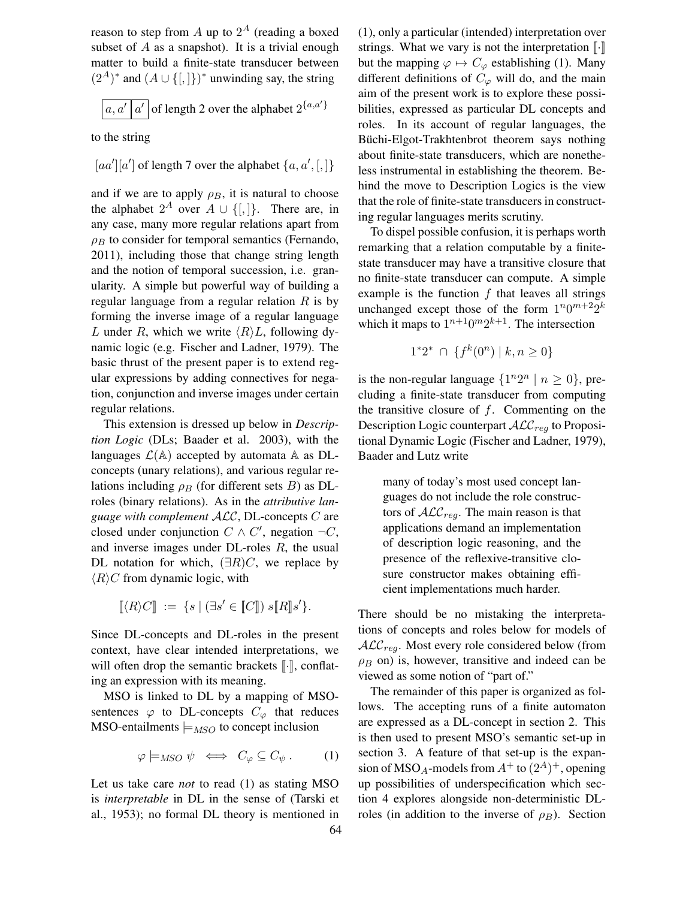reason to step from A up to  $2^A$  (reading a boxed subset of  $A$  as a snapshot). It is a trivial enough matter to build a finite-state transducer between  $(2^A)^*$  and  $(A \cup \{[,]\})^*$  unwinding say, the string

$$
a, a' | a'
$$
 of length 2 over the alphabet  $2^{\{a,a'\}}$ 

to the string

 $[aa'] [a']$  of length 7 over the alphabet  $\{a, a', [,]\}$ 

and if we are to apply  $\rho_B$ , it is natural to choose the alphabet  $2^A$  over  $A \cup \{[,]\}$ . There are, in any case, many more regular relations apart from  $\rho_B$  to consider for temporal semantics (Fernando, 2011), including those that change string length and the notion of temporal succession, i.e. granularity. A simple but powerful way of building a regular language from a regular relation  $R$  is by forming the inverse image of a regular language L under R, which we write  $\langle R \rangle L$ , following dynamic logic (e.g. Fischer and Ladner, 1979). The basic thrust of the present paper is to extend regular expressions by adding connectives for negation, conjunction and inverse images under certain regular relations.

This extension is dressed up below in *Description Logic* (DLs; Baader et al. 2003), with the languages  $\mathcal{L}(\mathbb{A})$  accepted by automata  $\mathbb{A}$  as DLconcepts (unary relations), and various regular relations including  $\rho_B$  (for different sets B) as DLroles (binary relations). As in the *attributive language with complement* ALC, DL-concepts C are closed under conjunction  $C \wedge C'$ , negation  $\neg C$ , and inverse images under DL-roles R, the usual DL notation for which,  $(\exists R)C$ , we replace by  $\langle R \rangle C$  from dynamic logic, with

$$
\llbracket \langle R \rangle C \rrbracket := \{ s \mid (\exists s' \in \llbracket C \rrbracket) \ s \llbracket R \rrbracket s' \}.
$$

Since DL-concepts and DL-roles in the present context, have clear intended interpretations, we will often drop the semantic brackets  $[\![\cdot]\!]$ , conflating an expression with its meaning.

MSO is linked to DL by a mapping of MSOsentences  $\varphi$  to DL-concepts  $C_{\varphi}$  that reduces MSO-entailments  $\models_{MSO}$  to concept inclusion

$$
\varphi \models_{\mathit{MSO}} \psi \iff C_{\varphi} \subseteq C_{\psi} . \tag{1}
$$

Let us take care *not* to read (1) as stating MSO is *interpretable* in DL in the sense of (Tarski et al., 1953); no formal DL theory is mentioned in

(1), only a particular (intended) interpretation over strings. What we vary is not the interpretation  $\lbrack \cdot \rbrack$ but the mapping  $\varphi \mapsto C_{\varphi}$  establishing (1). Many different definitions of  $C_{\varphi}$  will do, and the main aim of the present work is to explore these possibilities, expressed as particular DL concepts and roles. In its account of regular languages, the Büchi-Elgot-Trakhtenbrot theorem says nothing about finite-state transducers, which are nonetheless instrumental in establishing the theorem. Behind the move to Description Logics is the view that the role of finite-state transducers in constructing regular languages merits scrutiny.

To dispel possible confusion, it is perhaps worth remarking that a relation computable by a finitestate transducer may have a transitive closure that no finite-state transducer can compute. A simple example is the function  $f$  that leaves all strings unchanged except those of the form  $1^n0^{m+2}2^k$ which it maps to  $1^{n+1}0^m2^{k+1}$ . The intersection

$$
1^*2^* \cap \{ f^k(0^n) \mid k, n \ge 0 \}
$$

is the non-regular language  $\{1^n 2^n \mid n \ge 0\}$ , precluding a finite-state transducer from computing the transitive closure of  $f$ . Commenting on the Description Logic counterpart  $\mathcal{ALC}_{req}$  to Propositional Dynamic Logic (Fischer and Ladner, 1979), Baader and Lutz write

> many of today's most used concept languages do not include the role constructors of  $\mathcal{ALC}_{req}$ . The main reason is that applications demand an implementation of description logic reasoning, and the presence of the reflexive-transitive closure constructor makes obtaining efficient implementations much harder.

There should be no mistaking the interpretations of concepts and roles below for models of  $\mathcal{ALC}_{req}$ . Most every role considered below (from  $\rho_B$  on) is, however, transitive and indeed can be viewed as some notion of "part of."

The remainder of this paper is organized as follows. The accepting runs of a finite automaton are expressed as a DL-concept in section 2. This is then used to present MSO's semantic set-up in section 3. A feature of that set-up is the expansion of  $\mathrm{MSO}_A$ -models from  $A^+$  to  $(2^A)^+$ , opening up possibilities of underspecification which section 4 explores alongside non-deterministic DLroles (in addition to the inverse of  $\rho_B$ ). Section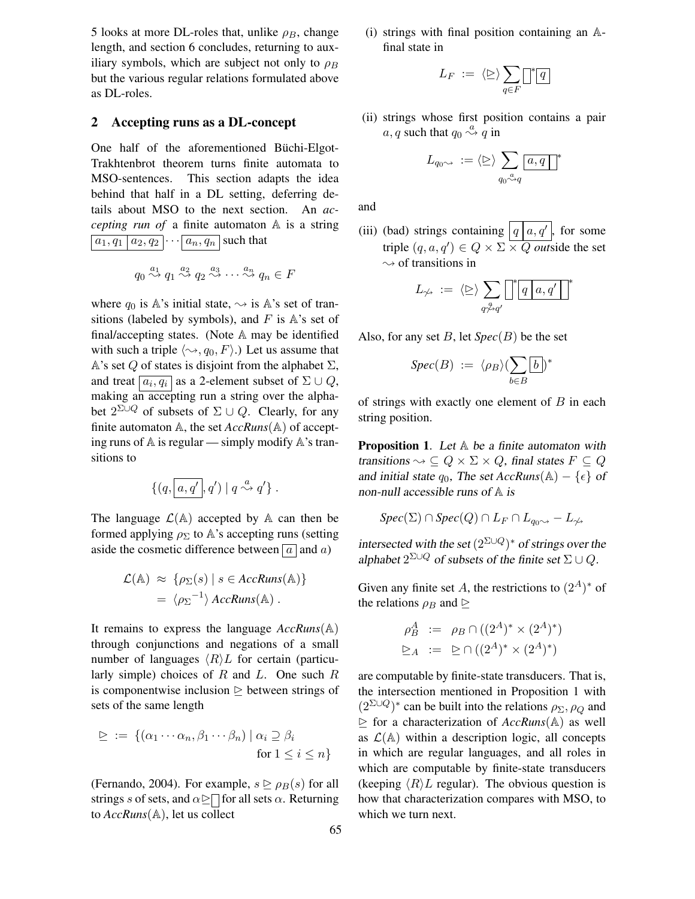5 looks at more DL-roles that, unlike  $\rho_B$ , change length, and section 6 concludes, returning to auxiliary symbols, which are subject not only to  $\rho_B$ but the various regular relations formulated above as DL-roles.

### 2 Accepting runs as a DL-concept

One half of the aforementioned Büchi-Elgot-Trakhtenbrot theorem turns finite automata to MSO-sentences. This section adapts the idea behind that half in a DL setting, deferring details about MSO to the next section. An *accepting run of* a finite automaton A is a string  $\boxed{a_1, \overline{q_1 \mid a_2, q_2 \mid \cdots \mid a_n, q_n}}$  such that

$$
q_0 \stackrel{a_1}{\rightsquigarrow} q_1 \stackrel{a_2}{\rightsquigarrow} q_2 \stackrel{a_3}{\rightsquigarrow} \cdots \stackrel{a_n}{\rightsquigarrow} q_n \in F
$$

where  $q_0$  is A's initial state,  $\rightsquigarrow$  is A's set of transitions (labeled by symbols), and  $F$  is  $A$ 's set of final/accepting states. (Note A may be identified with such a triple  $\langle \leadsto, q_0, F \rangle$ .) Let us assume that A's set Q of states is disjoint from the alphabet  $\Sigma$ , and treat  $\boxed{a_i, q_i}$  as a 2-element subset of  $\Sigma \cup Q$ , making an accepting run a string over the alphabet  $2^{\Sigma\cup Q}$  of subsets of  $\Sigma\cup Q$ . Clearly, for any finite automaton A, the set *AccRuns*(A) of accepting runs of A is regular — simply modify A's transitions to

$$
\{(q,\boxed{a,q'},q')\mid q \stackrel{a}{\leadsto} q'\}.
$$

The language  $\mathcal{L}(\mathbb{A})$  accepted by  $\mathbb{A}$  can then be formed applying  $\rho_{\Sigma}$  to A's accepting runs (setting aside the cosmetic difference between  $\boxed{a}$  and  $a)$ 

$$
\mathcal{L}(\mathbb{A}) \approx \{ \rho_{\Sigma}(s) \mid s \in AccRuns(\mathbb{A}) \}
$$
  
=  $\langle \rho_{\Sigma}^{-1} \rangle AccRuns(\mathbb{A}) .$ 

It remains to express the language *AccRuns*(A) through conjunctions and negations of a small number of languages  $\langle R \rangle L$  for certain (particularly simple) choices of  $R$  and  $L$ . One such  $R$ is componentwise inclusion  $\triangleright$  between strings of sets of the same length

$$
\geq := \{ (\alpha_1 \cdots \alpha_n, \beta_1 \cdots \beta_n) \mid \alpha_i \supseteq \beta_i \text{ for } 1 \leq i \leq n \}
$$

(Fernando, 2004). For example,  $s \geq \rho_B(s)$  for all strings s of sets, and  $\alpha \geq \bigcap$  for all sets  $\alpha$ . Returning to *AccRuns*(A), let us collect

(i) strings with final position containing an Afinal state in

$$
L_F\;:=\;\langle \unrhd \rangle \sum_{q\in F} \hskip -10pt \bigsqcup^* \hskip -10pt \bigsqcup^* \hskip -10pt \bigsqcup
$$

(ii) strings whose first position contains a pair  $a, q$  such that  $q_0 \stackrel{a}{\rightsquigarrow} \frac{1}{q}$  in

$$
L_{q_0 \sim \cdot} := \langle \unrhd \rangle \sum_{q_0 \sim_q} \boxed{a, q} \mid^*
$$

and

(iii) (bad) strings containing  $|q|a, q'$ , for some triple  $(q, a, q') \in Q \times \Sigma \times Q$  *outside the set*  $\sim$  of transitions in

$$
L_{\not\rightsquigarrow}~:=~\langle \unrhd \rangle \sum_{q \not\rightsquigarrow q'} \left[ \left| \begin{matrix} \!\!\!\!\! \text{!f} \! \end{matrix} \left[ \!\!\!\begin{array}{c} q \! \!\!\!\!\! \mid a,q' \! \!\!\!\! \end{array} \right] \!\!\!\!\right]^*
$$

Also, for any set  $B$ , let  $Spec(B)$  be the set

$$
Spec(B) := \langle \rho_B \rangle \left( \sum_{b \in B} \boxed{b} \right)^*
$$

of strings with exactly one element of  $B$  in each string position.

**Proposition 1.** Let  $A$  be a finite automaton with transitions  $\rightsquigarrow \subseteq Q \times \Sigma \times Q$ , final states  $F \subseteq Q$ and initial state  $q_0$ , The set  $AccRuns(A) - \{e\}$  of non-null accessible runs of  $A$  is

$$
Spec(\Sigma) \cap Spec(Q) \cap L_F \cap L_{q_0} \to -L_{\nleftrightarrow}
$$

intersected with the set  $(2^{\Sigma\cup Q})^*$  of strings over the alphabet  $2^{\Sigma \cup Q}$  of subsets of the finite set  $\Sigma \cup Q$ .

Given any finite set A, the restrictions to  $(2^A)^*$  of the relations  $\rho_B$  and  $\geq$ 

$$
\rho_B^A := \rho_B \cap ((2^A)^* \times (2^A)^*)
$$
  

$$
\geq_A := \geq \cap ((2^A)^* \times (2^A)^*)
$$

are computable by finite-state transducers. That is, the intersection mentioned in Proposition 1 with  $(2^{\Sigma\cup Q})^*$  can be built into the relations  $\rho_{\Sigma}, \rho_{Q}$  and  $\geq$  for a characterization of *AccRuns*( $\triangle$ ) as well as  $\mathcal{L}(\mathbb{A})$  within a description logic, all concepts in which are regular languages, and all roles in which are computable by finite-state transducers (keeping  $\langle R \rangle L$  regular). The obvious question is how that characterization compares with MSO, to which we turn next.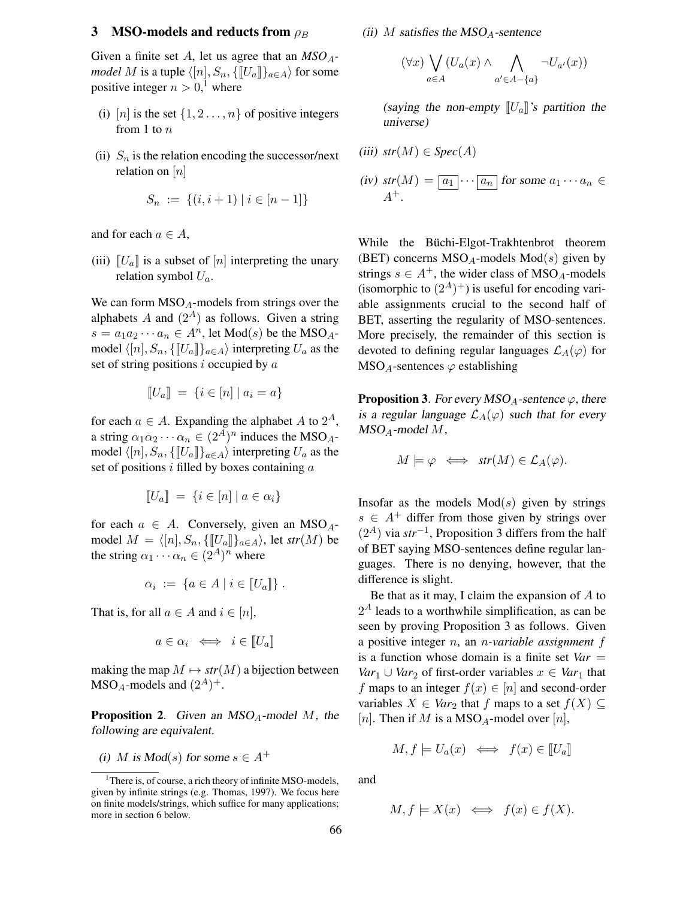#### 3 MSO-models and reducts from  $\rho_B$

Given a finite set A, let us agree that an  $MSO<sub>A</sub>$ *model M* is a tuple  $\langle [n], S_n, \{[[U_a]]\}_{a\in A}\rangle$  for some positive integer  $n > 0$ ,<sup>1</sup> where

- (i) [n] is the set  $\{1, 2, \ldots, n\}$  of positive integers from 1 to  $n$
- (ii)  $S_n$  is the relation encoding the successor/next relation on  $[n]$

$$
S_n := \{(i, i+1) \mid i \in [n-1]\}
$$

and for each  $a \in A$ ,

(iii)  $\llbracket U_a \rrbracket$  is a subset of  $[n]$  interpreting the unary relation symbol  $U_a$ .

We can form  $MSO_A$ -models from strings over the alphabets A and  $(2<sup>A</sup>)$  as follows. Given a string  $s = a_1 a_2 \cdots a_n \in A^n$ , let Mod(s) be the MSO<sub>A</sub>model  $\langle [n], S_n, \{[[U_a]]\}_{a \in A}$  interpreting  $U_a$  as the set of string positions i occupied by a

$$
[\![U_a]\!] = \{ i \in [n] \mid a_i = a \}
$$

for each  $a \in A$ . Expanding the alphabet A to  $2^A$ , a string  $\alpha_1 \alpha_2 \cdots \alpha_n \in (2^A)^n$  induces the MSO<sub>A</sub>model  $\langle [n], S_n, \{[[U_a]]\}_{a \in A} \rangle$  interpreting  $U_a$  as the set of positions  $i$  filled by boxes containing  $a$ 

$$
[\![U_a]\!] = \{ i \in [n] \mid a \in \alpha_i \}
$$

for each  $a \in A$ . Conversely, given an MSO<sub>A</sub>model  $M = \langle [n], S_n, \{[[U_a]]\}_{a \in A} \rangle$ , let *str*(*M*) be the string  $\alpha_1 \cdots \alpha_n \in (2^A)^n$  where

$$
\alpha_i := \{ a \in A \mid i \in [U_a] \} .
$$

That is, for all  $a \in A$  and  $i \in [n]$ ,

$$
a \in \alpha_i \iff i \in [U_a]
$$

making the map  $M \mapsto str(M)$  a bijection between  $MSO_A$ -models and  $(2^A)^+$ .

**Proposition 2.** Given an  $MSO<sub>A</sub>$ -model M, the following are equivalent.

(i) M is  $Mod(s)$  for some  $s \in A^+$ 

(ii) M satisfies the  $MSO<sub>A</sub>$ -sentence

$$
(\forall x)\bigvee_{a\in A}(U_a(x)\wedge\bigwedge_{a'\in A-\{a\}}\neg U_{a'}(x))
$$

(saying the non-empty  $[[U_a]]$ 's partition the universe)

(iii) 
$$
str(M) \in Spec(A)
$$
  
(iv)  $str(M) = \boxed{a_1 \cdots \boxed{a_n}}$  for some  $a_1 \cdots a_n \in A^+$ .

While the Büchi-Elgot-Trakhtenbrot theorem (BET) concerns  $MSO<sub>A</sub>$ -models  $Mod(s)$  given by strings  $s \in A^+$ , the wider class of MSO<sub>A</sub>-models (isomorphic to  $(2^A)^+$ ) is useful for encoding variable assignments crucial to the second half of BET, asserting the regularity of MSO-sentences. More precisely, the remainder of this section is devoted to defining regular languages  $\mathcal{L}_A(\varphi)$  for  $MSO<sub>A</sub>$ -sentences  $\varphi$  establishing

**Proposition 3.** For every MSO<sub>A</sub>-sentence  $\varphi$ , there is a regular language  $\mathcal{L}_A(\varphi)$  such that for every  $MSO_A$ -model  $M$ ,

$$
M \models \varphi \iff \text{str}(M) \in \mathcal{L}_A(\varphi).
$$

Insofar as the models  $Mod(s)$  given by strings  $s \in A^+$  differ from those given by strings over (2A) via *str*−<sup>1</sup> , Proposition 3 differs from the half of BET saying MSO-sentences define regular languages. There is no denying, however, that the difference is slight.

Be that as it may, I claim the expansion of  $A$  to  $2<sup>A</sup>$  leads to a worthwhile simplification, as can be seen by proving Proposition 3 as follows. Given a positive integer n, an n*-variable assignment* f is a function whose domain is a finite set *Var* = *Var*<sub>1</sub> ∪ *Var*<sub>2</sub> of first-order variables  $x \in Var_1$  that f maps to an integer  $f(x) \in [n]$  and second-order variables  $X \in Var_2$  that f maps to a set  $f(X) \subseteq$ [n]. Then if M is a MSO<sub>A</sub>-model over [n],

$$
M, f \models U_a(x) \iff f(x) \in [U_a]
$$

and

$$
M, f \models X(x) \iff f(x) \in f(X).
$$

<sup>&</sup>lt;sup>1</sup>There is, of course, a rich theory of infinite MSO-models, given by infinite strings (e.g. Thomas, 1997). We focus here on finite models/strings, which suffice for many applications; more in section 6 below.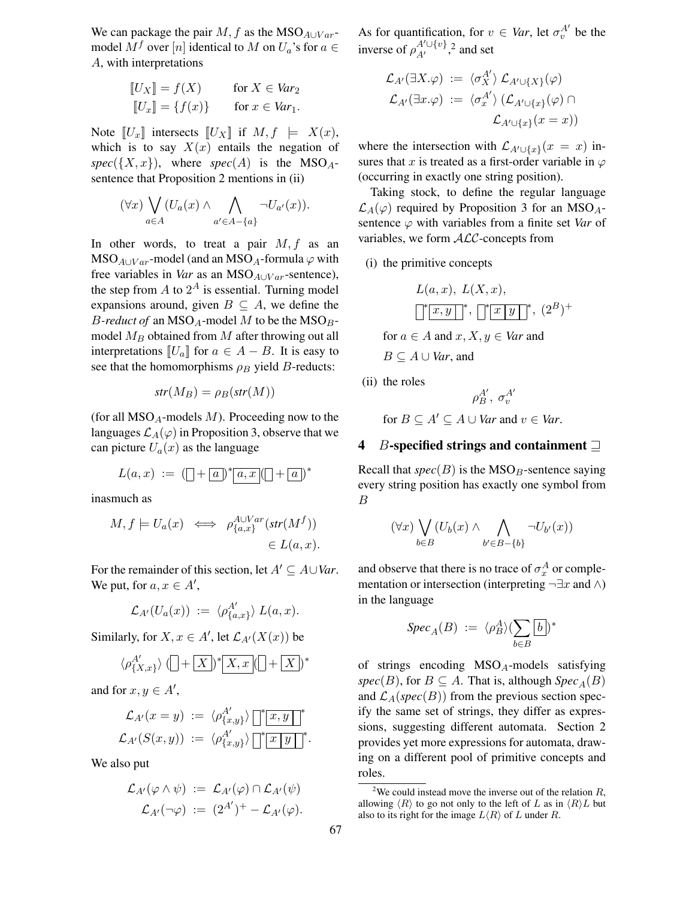We can package the pair M, f as the MSO<sub>A∪Var</sub>model  $M^f$  over [n] identical to M on  $U_a$ 's for  $a \in$ A, with interpretations

$$
\begin{aligned} \llbracket U_X \rrbracket &= f(X) & \text{for } X \in \text{Var}_2 \\ \llbracket U_x \rrbracket &= \{ f(x) \} & \text{for } x \in \text{Var}_1. \end{aligned}
$$

Note  $\llbracket U_x \rrbracket$  intersects  $\llbracket U_x \rrbracket$  if  $M, f \models X(x)$ , which is to say  $X(x)$  entails the negation of  $spec({X, x})$ , where  $spec(A)$  is the MSO<sub>A</sub>sentence that Proposition 2 mentions in (ii)

$$
(\forall x)\bigvee_{a\in A}(U_a(x)\wedge\bigwedge_{a'\in A-\{a\}}\neg U_{a'}(x)).
$$

In other words, to treat a pair  $M, f$  as an  $MSO_{A\cup Var}$ -model (and an MSO<sub>A</sub>-formula  $\varphi$  with free variables in *Var* as an MSO<sub>A∪Var</sub>-sentence), the step from  $A$  to  $2^A$  is essential. Turning model expansions around, given  $B \subseteq A$ , we define the *B*-reduct of an MSO<sub>A</sub>-model M to be the MSO<sub>B</sub>model  $M_B$  obtained from  $M$  after throwing out all interpretations  $[[U_a]]$  for  $a \in A - B$ . It is easy to see that the homomorphisms  $\rho_B$  yield B-reducts:

$$
str(M_B) = \rho_B(str(M))
$$

(for all  $MSO<sub>A</sub>$ -models M). Proceeding now to the languages  $\mathcal{L}_A(\varphi)$  in Proposition 3, observe that we can picture  $U_a(x)$  as the language

$$
L(a,x) := (\square + \boxed{a})^* \boxed{a,x} (\square + \boxed{a})^*
$$

inasmuch as

$$
M, f \models U_a(x) \iff \rho_{\{a,x\}}^{A \cup Var}(\text{str}(M^f))
$$
  

$$
\in L(a, x).
$$

For the remainder of this section, let  $A' \subseteq A \cup Var$ . We put, for  $a, x \in A'$ ,

$$
\mathcal{L}_{A'}(U_a(x)) := \langle \rho_{\{a,x\}}^{A'} \rangle L(a,x).
$$

Similarly, for  $X, x \in A'$ , let  $\mathcal{L}_{A'}(X(x))$  be

$$
\langle \rho^{A'}_{\{X,x\}} \rangle \ \bigl(\textcolor{black}{\bigr]}\textcolor{black}{+}\textcolor{black}{\fbox{$X$}},\textcolor{black}{\bigr)\textcolor{black}{*}}\textcolor{black}{\fbox{$X,x$}}\textcolor{black}{\bigr|\bigl(\textcolor{black}{\bigr)}\textcolor{black}{+}\textcolor{black}{\fbox{$X$}}\bigr)\textcolor{black}{*}
$$

and for  $x, y \in A'$ ,

$$
\mathcal{L}_{A'}(x = y) := \langle \rho_{\{x,y\}}^{A'} \rangle \left[ \begin{array}{c} * \\ \hline * \end{array} \right]^* \\
\mathcal{L}_{A'}(S(x,y)) := \langle \rho_{\{x,y\}}^{A'} \rangle \left[ \begin{array}{c} * \\ \hline * \end{array} \right]^*.
$$

We also put

$$
\mathcal{L}_{A'}(\varphi \wedge \psi) := \mathcal{L}_{A'}(\varphi) \cap \mathcal{L}_{A'}(\psi)
$$
  

$$
\mathcal{L}_{A'}(\neg \varphi) := (2^{A'})^+ - \mathcal{L}_{A'}(\varphi).
$$

As for quantification, for  $v \in Var$ , let  $\sigma_v^{A'}$  be the inverse of  $\rho_{A'}^{A' \cup \{v\},2}$  and set

$$
\mathcal{L}_{A'}(\exists X.\varphi) := \langle \sigma_X^{A'} \rangle \mathcal{L}_{A' \cup \{X\}}(\varphi)
$$
  

$$
\mathcal{L}_{A'}(\exists x.\varphi) := \langle \sigma_x^{A'} \rangle \left( \mathcal{L}_{A' \cup \{x\}}(\varphi) \cap \mathcal{L}_{A' \cup \{x\}}(\varphi) \cap \mathcal{L}_{A' \cup \{x\}}(x = x) \right)
$$

where the intersection with  $\mathcal{L}_{A' \cup \{x\}}(x = x)$  insures that x is treated as a first-order variable in  $\varphi$ (occurring in exactly one string position).

Taking stock, to define the regular language  $\mathcal{L}_A(\varphi)$  required by Proposition 3 for an MSO<sub>A</sub>sentence  $\varphi$  with variables from a finite set *Var* of variables, we form ALC-concepts from

(i) the primitive concepts

$$
L(a, x), L(X, x),
$$
  

$$
\boxed{\;^{*}[x, y]\;^{*}, \; \boxed{^{*}[x] \; y \; ]^{*}, \; (2^{B})^{+}}
$$

for  $a \in A$  and  $x, X, y \in Var$  and

$$
B \subseteq A \cup Var, \text{ and}
$$

(ii) the roles

 $\rho_{B}^{A'},\ \sigma_{v}^{A'}$ 

for  $B \subset A' \subset A \cup Var$  and  $v \in Var$ .

## 4 B-specified strings and containment  $\supseteq$

Recall that  $spec(B)$  is the MSO<sub>B</sub>-sentence saying every string position has exactly one symbol from B

$$
(\forall x)\bigvee_{b\in B}(U_b(x)\wedge\bigwedge_{b'\in B-\{b\}}\neg U_{b'}(x))
$$

and observe that there is no trace of  $\sigma_x^A$  or complementation or intersection (interpreting  $\neg \exists x$  and  $\wedge$ ) in the language

$$
Spec_A(B) := \langle \rho_B^A \rangle \left( \sum_{b \in B} \boxed{b} \right)^*
$$

of strings encoding  $MSO<sub>A</sub>$ -models satisfying  $spec(B)$ , for  $B \subseteq A$ . That is, although *Spec*<sub>A</sub>(B) and  $\mathcal{L}_A(spec(B))$  from the previous section specify the same set of strings, they differ as expressions, suggesting different automata. Section 2 provides yet more expressions for automata, drawing on a different pool of primitive concepts and roles.

<sup>&</sup>lt;sup>2</sup>We could instead move the inverse out of the relation  $R$ , allowing  $\langle R \rangle$  to go not only to the left of L as in  $\langle R \rangle L$  but also to its right for the image  $L\langle R\rangle$  of L under R.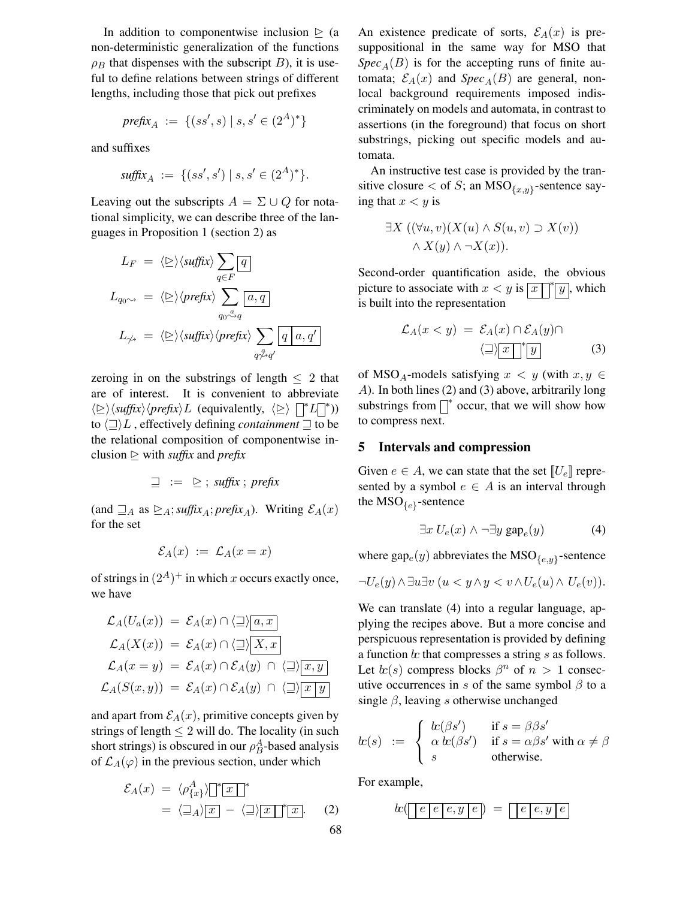In addition to componentwise inclusion  $\triangleright$  (a non-deterministic generalization of the functions  $\rho_B$  that dispenses with the subscript B), it is useful to define relations between strings of different lengths, including those that pick out prefixes

$$
\text{prefix}_{A} := \{ (ss', s) \mid s, s' \in (2^{A})^* \}
$$

and suffixes

$$
\text{suffix}_A := \{ (ss', s') \mid s, s' \in (2^A)^* \}.
$$

Leaving out the subscripts  $A = \Sigma \cup Q$  for notational simplicity, we can describe three of the languages in Proposition 1 (section 2) as

$$
L_F = \langle \triangleright \rangle \langle \text{suffix} \rangle \sum_{q \in F} \boxed{q}
$$
  

$$
L_{q_0 \sim} = \langle \triangleright \rangle \langle \text{prefix} \rangle \sum_{q_0 \sim q} \boxed{a, q}
$$
  

$$
L_{\gamma} = \langle \triangleright \rangle \langle \text{suffix} \rangle \langle \text{prefix} \rangle \sum_{q_0 \sim q'} \boxed{q \mid a, q'}
$$

zeroing in on the substrings of length  $\leq 2$  that are of interest. It is convenient to abbreviate  $\langle \triangleright \rangle$   $\langle \mathit{suffix} \rangle$   $\langle \mathit{prefix} \rangle$  L (equivalently,  $\langle \triangleright \bigcirc \rangle$   $\langle \bigcirc \rangle$   $\langle \bigcirc \rangle$   $\langle \bigcirc \rangle$ to  $\langle \exists \rangle L$ , effectively defining *containment*  $\exists$  to be the relational composition of componentwise inclusion  $\geq$  with *suffix* and *prefix* 

$$
\supseteq \ := \ \ \triangleright \ ; \ \mathit{suffix} \ ; \ \mathit{prefix}
$$

(and  $\sqsupseteq_A$  as  $\vartrianglerighteq_A$ ; *suffix*<sub>A</sub>; *prefix*<sub>A</sub>). Writing  $\mathcal{E}_A(x)$ for the set

$$
\mathcal{E}_A(x) := \mathcal{L}_A(x = x)
$$

of strings in  $(2^A)^+$  in which x occurs exactly once, we have

$$
\mathcal{L}_A(U_a(x)) = \mathcal{E}_A(x) \cap \langle \supseteq \rangle \boxed{a, x}
$$

$$
\mathcal{L}_A(X(x)) = \mathcal{E}_A(x) \cap \langle \supseteq \rangle \boxed{X, x}
$$

$$
\mathcal{L}_A(x = y) = \mathcal{E}_A(x) \cap \mathcal{E}_A(y) \cap \langle \supseteq \rangle \boxed{x, y}
$$

$$
\mathcal{L}_A(S(x, y)) = \mathcal{E}_A(x) \cap \mathcal{E}_A(y) \cap \langle \supseteq \rangle \boxed{x \boxed{y}}
$$

and apart from  $\mathcal{E}_A(x)$ , primitive concepts given by strings of length  $\leq 2$  will do. The locality (in such short strings) is obscured in our  $\rho_B^A$ -based analysis of  $\mathcal{L}_A(\varphi)$  in the previous section, under which

$$
\mathcal{E}_A(x) = \langle \rho_{\{x\}}^A \rangle \left[ \begin{array}{c} \left[ x \right] \end{array} \right]^*
$$
  
=  $\langle \frac{\square}{\square} A \rangle \left[ \begin{array}{c} x \end{array} \right] - \langle \frac{\square}{\square} \rangle \left[ \begin{array}{c} x \end{array} \right]^* \left[ \begin{array}{c} x \end{array} \right].$  (2)

An existence predicate of sorts,  $\mathcal{E}_A(x)$  is presuppositional in the same way for MSO that *Spec*<sub>A</sub>( $B$ ) is for the accepting runs of finite automata;  $\mathcal{E}_A(x)$  and *Spec<sub>A</sub>*(*B*) are general, nonlocal background requirements imposed indiscriminately on models and automata, in contrast to assertions (in the foreground) that focus on short substrings, picking out specific models and automata.

An instructive test case is provided by the transitive closure  $<$  of *S*; an MSO<sub>{*x,y*}</sub>-sentence saying that  $x < y$  is

$$
\exists X ((\forall u, v)(X(u) \land S(u, v) \supset X(v))
$$

$$
\land X(y) \land \neg X(x)).
$$

Second-order quantification aside, the obvious picture to associate with  $x < y$  is  $\boxed{x \mid x}$ , which is built into the representation

$$
\mathcal{L}_A(x < y) = \mathcal{E}_A(x) \cap \mathcal{E}_A(y) \cap
$$

$$
\langle \supseteq \rangle x \upharpoonright^* y \tag{3}
$$

of MSO<sub>A</sub>-models satisfying  $x < y$  (with  $x, y \in$ A). In both lines (2) and (3) above, arbitrarily long substrings from  $\bigcap^*$  occur, that we will show how to compress next.

#### 5 Intervals and compression

Given  $e \in A$ , we can state that the set  $\llbracket U_e \rrbracket$  represented by a symbol  $e \in A$  is an interval through the  $\mathrm{MSO}_{\{e\}}$ -sentence

$$
\exists x \ U_e(x) \land \neg \exists y \ \text{gap}_e(y) \tag{4}
$$

where  $\text{gap}_e(y)$  abbreviates the MSO $_{\{e,y\}}$ -sentence

$$
\neg U_e(y) \land \exists u \exists v \ (u < y \land y < v \land U_e(u) \land U_e(v)).
$$

We can translate (4) into a regular language, applying the recipes above. But a more concise and perspicuous representation is provided by defining a function  $\&$  that compresses a string  $s$  as follows. Let  $\text{tc}(s)$  compress blocks  $\beta^n$  of  $n > 1$  consecutive occurrences in s of the same symbol  $\beta$  to a single  $\beta$ , leaving s otherwise unchanged

$$
k(s) := \begin{cases} k(\beta s') & \text{if } s = \beta \beta s' \\ \alpha k(\beta s') & \text{if } s = \alpha \beta s' \text{ with } \alpha \neq \beta \\ s & \text{otherwise.} \end{cases}
$$

For example,

$$
bc(\fbox{e}e e e, y e) = \fbox{e}e, y e
$$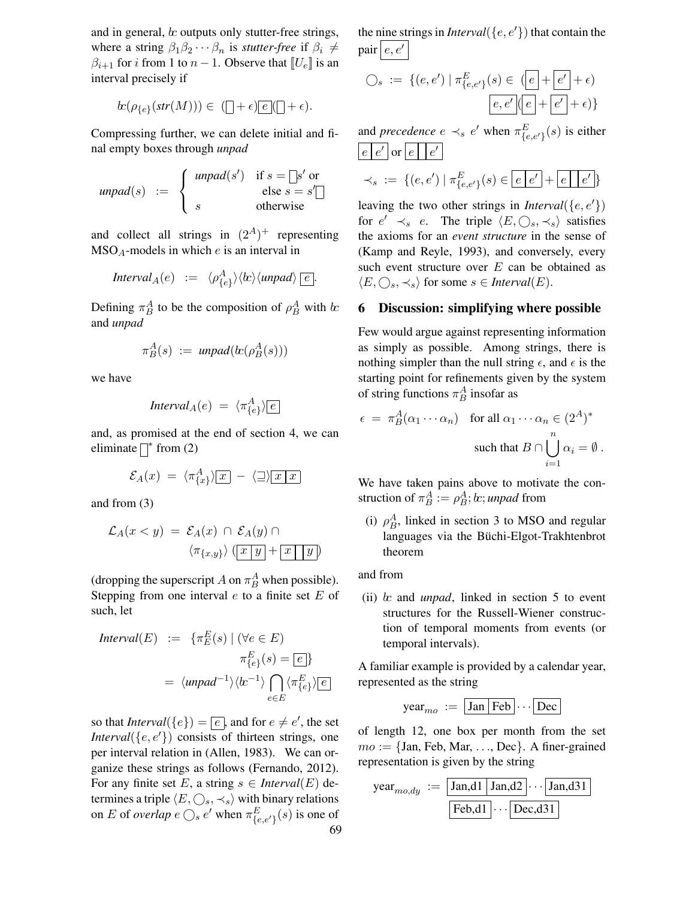and in general,  $\&$  outputs only stutter-free strings, where a string  $\beta_1\beta_2\cdots\beta_n$  is *stutter-free* if  $\beta_i\neq$  $\beta_{i+1}$  for *i* from 1 to  $n-1$ . Observe that  $\llbracket U_e \rrbracket$  is an interval precisely if

$$
lc(\rho_{\{e\}}(str(M))) \in (\Box + \epsilon)[e](\Box + \epsilon).
$$

Compressing further, we can delete initial and final empty boxes through *unpad*

$$
unpad(s) := \begin{cases} unpad(s') & \text{if } s = \Box s' \text{ or} \\ s & \text{otherwise} \end{cases}
$$

and collect all strings in  $(2^A)^+$  representing  $MSO<sub>A</sub>$ -models in which e is an interval in

$$
Interval_A(e) := \langle \rho_{\{e\}}^A \rangle \langle h \rangle \langle unpad \rangle \langle e].
$$

Defining  $\pi_B^A$  to be the composition of  $\rho_B^A$  with  $\omega$ and *unpad*

$$
\pi^A_B(s) := \text{unpad}(bc(\rho^A_B(s)))
$$

we have

$$
Interval_A(e) = \langle \pi_{\{e\}}^A \rangle \boxed{e}
$$

and, as promised at the end of section 4, we can eliminate  $\bigcap^*$  from (2)

$$
\mathcal{E}_A(x) = \langle \pi^A_{\{x\}} \rangle \boxed{x} - \boxed{\Box} \boxed{x \, x}
$$

and from (3)

$$
\mathcal{L}_A(x < y) = \mathcal{E}_A(x) \cap \mathcal{E}_A(y) \cap
$$

$$
\langle \pi_{\{x,y\}} \rangle \left( \boxed{x \, y} + \boxed{x \, y} \right)
$$

(dropping the superscript A on  $\pi_B^A$  when possible). Stepping from one interval  $e$  to a finite set  $E$  of such, let

$$
Interval(E) := \{\pi_E^E(s) \mid (\forall e \in E)
$$

$$
\pi_{\{e\}}^E(s) = [e]\}
$$

$$
= \langle unpad^{-1} \rangle \langle k^{-1} \rangle \bigcap_{e \in E} \langle \pi_{\{e\}}^E \rangle [e]
$$

so that *Interval*( $\{e\}$ ) =  $\boxed{e}$ , and for  $e \neq e'$ , the set *Interval*( $\{e, e'\}$ ) consists of thirteen strings, one per interval relation in (Allen, 1983). We can organize these strings as follows (Fernando, 2012). For any finite set E, a string  $s \in Interval(E)$  determines a triple  $\langle E, \bigcirc_s, \prec_s \rangle$  with binary relations on E of *overlap*  $e \bigcirc_s e'$  when  $\pi^E_{\{e,e'\}}(s)$  is one of 69 the nine strings in *Interval*( $\{e, e'\}$ ) that contain the pair  $|e, e|$ 

$$
\bigcirc_s := \{ (e, e') \mid \pi^E_{\{e, e'\}}(s) \in \left( \boxed{e} + \boxed{e'} + \epsilon \right) \} \qquad (e, e') \left( \boxed{e} + \boxed{e'} + \epsilon \right) \}
$$

and *precedence*  $e \prec_s e'$  when  $\pi^E_{\{e,e'\}}(s)$  is either  $e \, | \, e' \, |$  or  $| \, e \, | \, | \, e'$ 

$$
\prec_s := \{ (e, e') \mid \pi^E_{\{e, e'\}}(s) \in \boxed{e \mid e' \mid + \boxed{e \mid e' \mid}}
$$

leaving the two other strings in *Interval*( $\{e, e'\}$ ) for  $e' \prec_s e$ . The triple  $\langle E, \bigcirc_s, \prec_s \rangle$  satisfies the axioms for an *event structure* in the sense of (Kamp and Reyle, 1993), and conversely, every such event structure over  $E$  can be obtained as  $\langle E, \bigcirc_s, \prec_s \rangle$  for some  $s \in \text{Interval}(E)$ .

#### 6 Discussion: simplifying where possible

Few would argue against representing information as simply as possible. Among strings, there is nothing simpler than the null string  $\epsilon$ , and  $\epsilon$  is the starting point for refinements given by the system of string functions  $\pi_B^A$  insofar as

$$
\epsilon = \pi_B^A(\alpha_1 \cdots \alpha_n) \quad \text{for all } \alpha_1 \cdots \alpha_n \in (2^A)^* \\
 \text{such that } B \cap \bigcup_{i=1}^n \alpha_i = \emptyset \, .
$$

We have taken pains above to motivate the construction of  $\pi_B^A := \rho_B^A$ ; *k*: *unpad* from

(i)  $\rho_B^A$ , linked in section 3 to MSO and regular languages via the Büchi-Elgot-Trakhtenbrot theorem

and from

(ii)  $\&$  and *unpad*, linked in section 5 to event structures for the Russell-Wiener construction of temporal moments from events (or temporal intervals).

A familiar example is provided by a calendar year, represented as the string

$$
\text{year}_{mo} := \boxed{\text{Jan} \mid \text{Feb}} \cdots \boxed{\text{Dec}}
$$

of length 12, one box per month from the set  $mo := \{Jan, Feb, Mar, ..., Dec\}.$  A finer-grained representation is given by the string

$$
\text{year}_{mo,dy} := \boxed{\text{Jan,d1} \mid \text{Jan,d2} \mid \cdots \mid \text{Jan,d31}}\n\boxed{\text{Feb,d1} \cdots \mid \text{Dec,d31}}
$$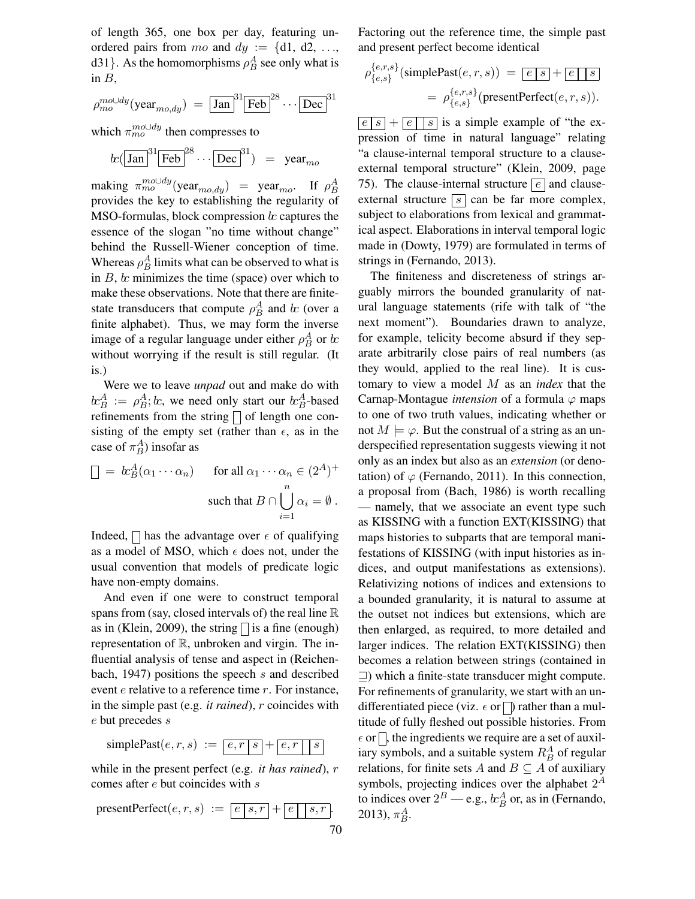of length 365, one box per day, featuring unordered pairs from mo and  $dy := \{d1, d2, \ldots,$ d31}. As the homomorphisms  $\rho_B^A$  see only what is in  $B$ ,

$$
\rho_{mo}^{mol/dy}(\textrm{year}_{mo,dy}) = \boxed{\textrm{Jan}}^{31} \boxed{\textrm{Feb}}^{28} \cdots \boxed{\textrm{Dec}}^{31}
$$

which  $\pi_{mo}^{mo\cup dy}$  then compresses to

$$
hc(\boxed{\text{Jan}}^{31}[\text{Feb}]^{28} \cdots \boxed{\text{Dec}}^{31}) = \text{year}_{mo}
$$

making  $\pi_{mo}^{mo \cup dy}$  (year $_{mo, dy}$ ) = year<sub>mo</sub>. If  $\rho_B^A$ provides the key to establishing the regularity of MSO-formulas, block compression  $\alpha$  captures the essence of the slogan "no time without change" behind the Russell-Wiener conception of time. Whereas  $\rho_B^A$  limits what can be observed to what is in  $B$ ,  $\&$  minimizes the time (space) over which to make these observations. Note that there are finitestate transducers that compute  $\rho_B^A$  and  $\&$  (over a finite alphabet). Thus, we may form the inverse image of a regular language under either  $\rho_B^A$  or  $b$ : without worrying if the result is still regular. (It is.)

Were we to leave *unpad* out and make do with  $\alpha_B^A := \rho_B^A;$  to, we need only start our  $\alpha_B^A$ -based refinements from the string  $\Box$  of length one consisting of the empty set (rather than  $\epsilon$ , as in the case of  $\pi_B^A$ ) insofar as

$$
\Box = \mathbf{b}_B^A(\alpha_1 \cdots \alpha_n) \quad \text{for all } \alpha_1 \cdots \alpha_n \in (2^A)^+
$$
  
such that  $B \cap \bigcup_{i=1}^n \alpha_i = \emptyset$ .

Indeed,  $\Box$  has the advantage over  $\epsilon$  of qualifying as a model of MSO, which  $\epsilon$  does not, under the usual convention that models of predicate logic have non-empty domains.

And even if one were to construct temporal spans from (say, closed intervals of) the real line  $\mathbb R$ as in (Klein, 2009), the string  $\Box$  is a fine (enough) representation of  $\mathbb R$ , unbroken and virgin. The influential analysis of tense and aspect in (Reichenbach, 1947) positions the speech s and described event e relative to a reference time r. For instance, in the simple past (e.g. *it rained*), r coincides with e but precedes s

 $simpleFast(e, r, s) := \boxed{e, r \mid s} + \boxed{e, r}$ 

while in the present perfect (e.g. *it has rained*), r comes after e but coincides with s

$$
\text{presentPerfect}(e, r, s) := \boxed{e \mid s, r} + \boxed{e \mid s, r}.
$$

Factoring out the reference time, the simple past and present perfect become identical

$$
\rho_{\{e,s\}}^{\{e,r,s\}}(\text{simpleFast}(e,r,s)) = \boxed{e \mid s\} + \boxed{e \mid s}
$$

$$
= \rho_{\{e,s\}}^{\{e,r,s\}}(\text{presentPerfect}(e,r,s)).
$$

 $\boxed{e \mid s}$  +  $\boxed{e \mid s}$  is a simple example of "the expression of time in natural language" relating "a clause-internal temporal structure to a clauseexternal temporal structure" (Klein, 2009, page 75). The clause-internal structure  $\boxed{e}$  and clauseexternal structure  $\boxed{s}$  can be far more complex, subject to elaborations from lexical and grammatical aspect. Elaborations in interval temporal logic made in (Dowty, 1979) are formulated in terms of strings in (Fernando, 2013).

The finiteness and discreteness of strings arguably mirrors the bounded granularity of natural language statements (rife with talk of "the next moment"). Boundaries drawn to analyze, for example, telicity become absurd if they separate arbitrarily close pairs of real numbers (as they would, applied to the real line). It is customary to view a model M as an *index* that the Carnap-Montague *intension* of a formula  $\varphi$  maps to one of two truth values, indicating whether or not  $M \models \varphi$ . But the construal of a string as an underspecified representation suggests viewing it not only as an index but also as an *extension* (or denotation) of  $\varphi$  (Fernando, 2011). In this connection, a proposal from (Bach, 1986) is worth recalling — namely, that we associate an event type such as KISSING with a function EXT(KISSING) that maps histories to subparts that are temporal manifestations of KISSING (with input histories as indices, and output manifestations as extensions). Relativizing notions of indices and extensions to a bounded granularity, it is natural to assume at the outset not indices but extensions, which are then enlarged, as required, to more detailed and larger indices. The relation EXT(KISSING) then becomes a relation between strings (contained in  $\supseteq$ ) which a finite-state transducer might compute. For refinements of granularity, we start with an undifferentiated piece (viz.  $\epsilon$  or  $\Box$ ) rather than a multitude of fully fleshed out possible histories. From  $\epsilon$  or  $\Box$ , the ingredients we require are a set of auxiliary symbols, and a suitable system  $R_B^A$  of regular relations, for finite sets A and  $B \subseteq A$  of auxiliary symbols, projecting indices over the alphabet  $2^A$ to indices over  $2^B$  — e.g.,  $k_B^A$  or, as in (Fernando, 2013),  $\pi_B^A$ .